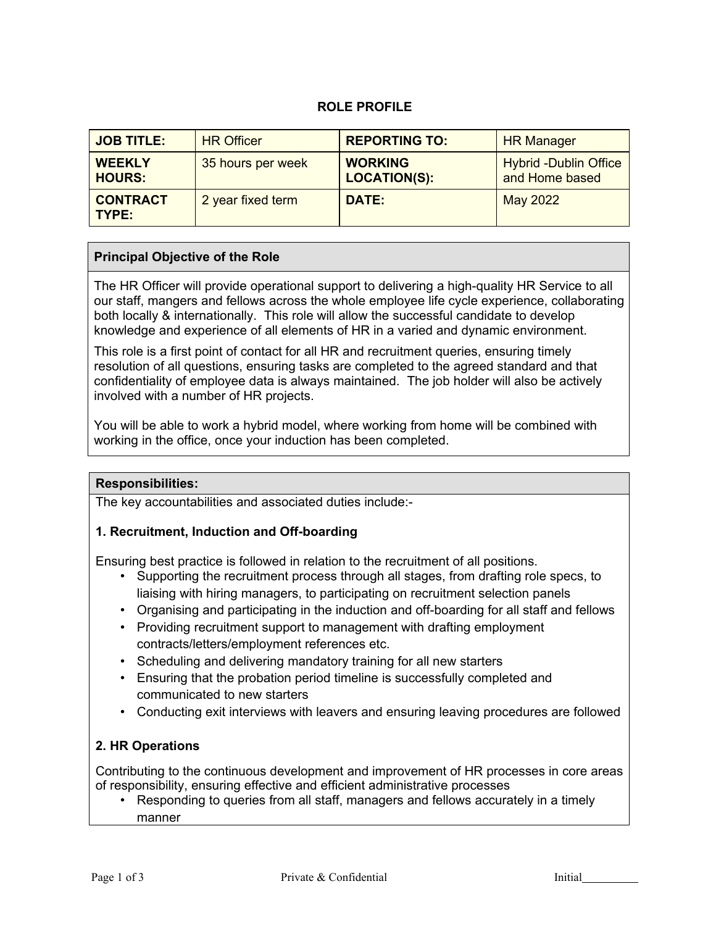### **ROLE PROFILE**

| <b>JOB TITLE:</b>              | <b>HR Officer</b> | <b>REPORTING TO:</b>                  | <b>HR Manager</b>                              |
|--------------------------------|-------------------|---------------------------------------|------------------------------------------------|
| <b>WEEKLY</b><br><b>HOURS:</b> | 35 hours per week | <b>WORKING</b><br><b>LOCATION(S):</b> | <b>Hybrid -Dublin Office</b><br>and Home based |
| <b>CONTRACT</b><br>TYPE:       | 2 year fixed term | <b>DATE:</b>                          | May 2022                                       |

### **Principal Objective of the Role**

The HR Officer will provide operational support to delivering a high-quality HR Service to all our staff, mangers and fellows across the whole employee life cycle experience, collaborating both locally & internationally. This role will allow the successful candidate to develop knowledge and experience of all elements of HR in a varied and dynamic environment.

This role is a first point of contact for all HR and recruitment queries, ensuring timely resolution of all questions, ensuring tasks are completed to the agreed standard and that confidentiality of employee data is always maintained. The job holder will also be actively involved with a number of HR projects.

You will be able to work a hybrid model, where working from home will be combined with working in the office, once your induction has been completed.

#### **Responsibilities:**

The key accountabilities and associated duties include:-

#### **1. Recruitment, Induction and Off-boarding**

Ensuring best practice is followed in relation to the recruitment of all positions.

- Supporting the recruitment process through all stages, from drafting role specs, to liaising with hiring managers, to participating on recruitment selection panels
- Organising and participating in the induction and off-boarding for all staff and fellows
- Providing recruitment support to management with drafting employment contracts/letters/employment references etc.
- Scheduling and delivering mandatory training for all new starters
- Ensuring that the probation period timeline is successfully completed and communicated to new starters
- Conducting exit interviews with leavers and ensuring leaving procedures are followed

### **2. HR Operations**

Contributing to the continuous development and improvement of HR processes in core areas of responsibility, ensuring effective and efficient administrative processes

• Responding to queries from all staff, managers and fellows accurately in a timely manner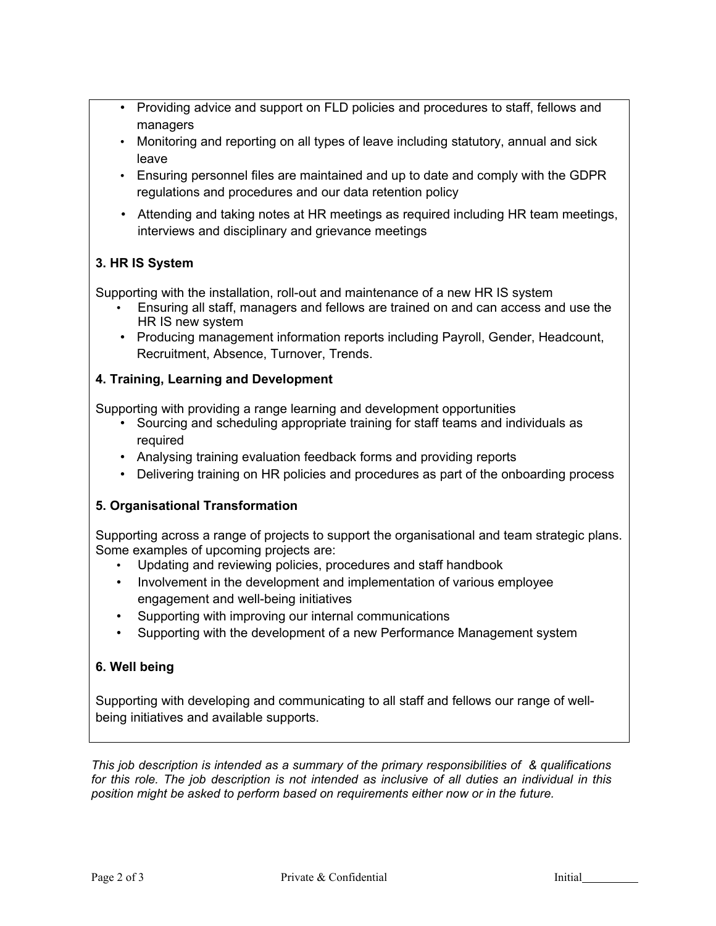- Providing advice and support on FLD policies and procedures to staff, fellows and managers
- Monitoring and reporting on all types of leave including statutory, annual and sick leave
- Ensuring personnel files are maintained and up to date and comply with the GDPR regulations and procedures and our data retention policy
- Attending and taking notes at HR meetings as required including HR team meetings, interviews and disciplinary and grievance meetings

# **3. HR IS System**

Supporting with the installation, roll-out and maintenance of a new HR IS system

- Ensuring all staff, managers and fellows are trained on and can access and use the HR IS new system
- Producing management information reports including Payroll, Gender, Headcount, Recruitment, Absence, Turnover, Trends.

# **4. Training, Learning and Development**

Supporting with providing a range learning and development opportunities

- Sourcing and scheduling appropriate training for staff teams and individuals as required
- Analysing training evaluation feedback forms and providing reports
- Delivering training on HR policies and procedures as part of the onboarding process

# **5. Organisational Transformation**

Supporting across a range of projects to support the organisational and team strategic plans. Some examples of upcoming projects are:

- Updating and reviewing policies, procedures and staff handbook
- Involvement in the development and implementation of various employee engagement and well-being initiatives
- Supporting with improving our internal communications
- Supporting with the development of a new Performance Management system

# **6. Well being**

Supporting with developing and communicating to all staff and fellows our range of wellbeing initiatives and available supports.

*This job description is intended as a summary of the primary responsibilities of & qualifications for this role. The job description is not intended as inclusive of all duties an individual in this position might be asked to perform based on requirements either now or in the future.*